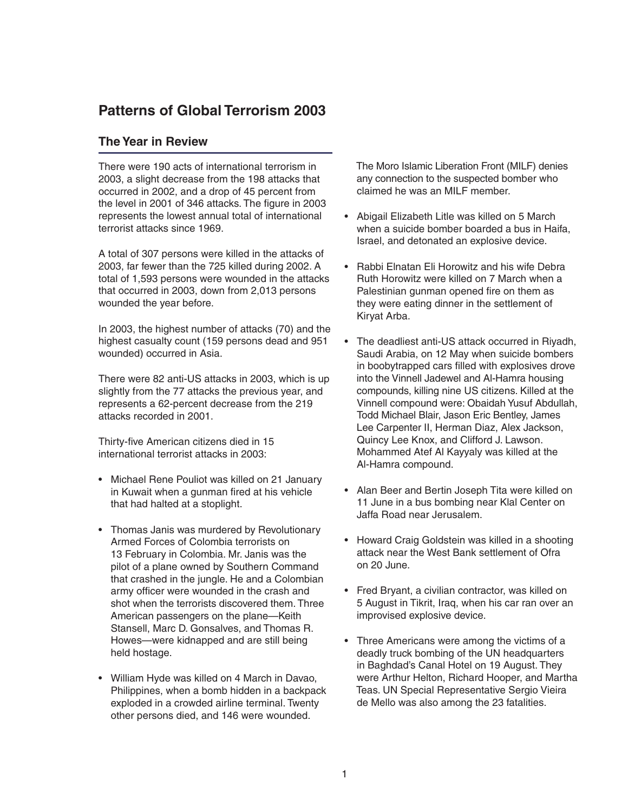## **Patterns of Global Terrorism 2003**

## **The Year in Review**

There were 190 acts of international terrorism in 2003, a slight decrease from the 198 attacks that occurred in 2002, and a drop of 45 percent from the level in 2001 of 346 attacks. The figure in 2003 represents the lowest annual total of international terrorist attacks since 1969.

A total of 307 persons were killed in the attacks of 2003, far fewer than the 725 killed during 2002. A total of 1,593 persons were wounded in the attacks that occurred in 2003, down from 2,013 persons wounded the year before.

In 2003, the highest number of attacks (70) and the highest casualty count (159 persons dead and 951 wounded) occurred in Asia.

There were 82 anti-US attacks in 2003, which is up slightly from the 77 attacks the previous year, and represents a 62-percent decrease from the 219 attacks recorded in 2001.

Thirty-five American citizens died in 15 international terrorist attacks in 2003:

- Michael Rene Pouliot was killed on 21 January in Kuwait when a gunman fired at his vehicle that had halted at a stoplight.
- Thomas Janis was murdered by Revolutionary Armed Forces of Colombia terrorists on 13 February in Colombia. Mr. Janis was the pilot of a plane owned by Southern Command that crashed in the jungle. He and a Colombian army officer were wounded in the crash and shot when the terrorists discovered them. Three American passengers on the plane—Keith Stansell, Marc D. Gonsalves, and Thomas R. Howes—were kidnapped and are still being held hostage.
- William Hyde was killed on 4 March in Davao, Philippines, when a bomb hidden in a backpack exploded in a crowded airline terminal. Twenty other persons died, and 146 were wounded.

 The Moro Islamic Liberation Front (MILF) denies any connection to the suspected bomber who claimed he was an MILF member.

- Abigail Elizabeth Litle was killed on 5 March when a suicide bomber boarded a bus in Haifa, Israel, and detonated an explosive device.
- Rabbi Elnatan Eli Horowitz and his wife Debra Ruth Horowitz were killed on 7 March when a Palestinian gunman opened fire on them as they were eating dinner in the settlement of Kiryat Arba.
- The deadliest anti-US attack occurred in Riyadh, Saudi Arabia, on 12 May when suicide bombers in boobytrapped cars filled with explosives drove into the Vinnell Jadewel and Al-Hamra housing compounds, killing nine US citizens. Killed at the Vinnell compound were: Obaidah Yusuf Abdullah, Todd Michael Blair, Jason Eric Bentley, James Lee Carpenter II, Herman Diaz, Alex Jackson, Quincy Lee Knox, and Clifford J. Lawson. Mohammed Atef Al Kayyaly was killed at the Al-Hamra compound.
- Alan Beer and Bertin Joseph Tita were killed on 11 June in a bus bombing near Klal Center on Jaffa Road near Jerusalem.
- Howard Craig Goldstein was killed in a shooting attack near the West Bank settlement of Ofra on 20 June.
- Fred Bryant, a civilian contractor, was killed on 5 August in Tikrit, Iraq, when his car ran over an improvised explosive device.
- Three Americans were among the victims of a deadly truck bombing of the UN headquarters in Baghdad's Canal Hotel on 19 August. They were Arthur Helton, Richard Hooper, and Martha Teas. UN Special Representative Sergio Vieira de Mello was also among the 23 fatalities.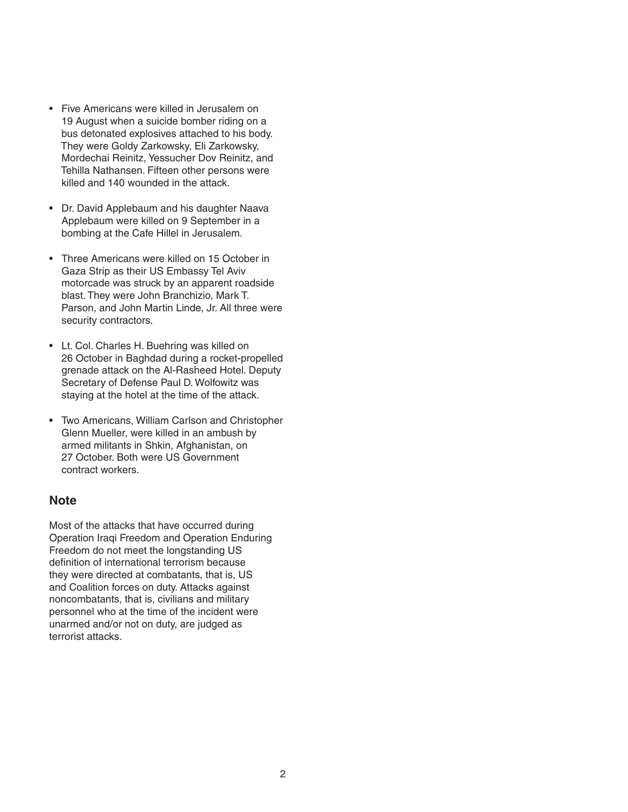- Five Americans were killed in Jerusalem on 19 August when a suicide bomber riding on a bus detonated explosives attached to his body. They were Goldy Zarkowsky, Eli Zarkowsky, Mordechai Reinitz, Yessucher Dov Reinitz, and Tehilla Nathansen. Fifteen other persons were killed and 140 wounded in the attack.
- Dr. David Applebaum and his daughter Naava Applebaum were killed on 9 September in a bombing at the Cafe Hillel in Jerusalem.
- Three Americans were killed on 15 October in Gaza Strip as their US Embassy Tel Aviv motorcade was struck by an apparent roadside blast. They were John Branchizio, Mark T. Parson, and John Martin Linde, Jr. All three were security contractors.
- Lt. Col. Charles H. Buehring was killed on 26 October in Baghdad during a rocket-propelled grenade attack on the Al-Rasheed Hotel. Deputy Secretary of Defense Paul D. Wolfowitz was staying at the hotel at the time of the attack.
- Two Americans, William Carlson and Christopher Glenn Mueller, were killed in an ambush by armed militants in Shkin, Afghanistan, on 27 October. Both were US Government contract workers.

## **Note**

Most of the attacks that have occurred during Operation Iraqi Freedom and Operation Enduring Freedom do not meet the longstanding US definition of international terrorism because they were directed at combatants, that is, US and Coalition forces on duty. Attacks against noncombatants, that is, civilians and military personnel who at the time of the incident were unarmed and/or not on duty, are judged as terrorist attacks.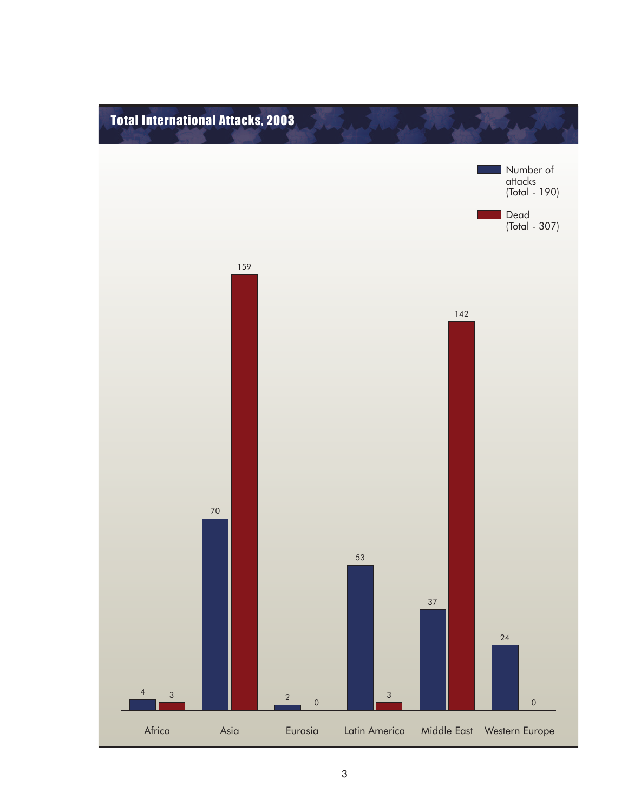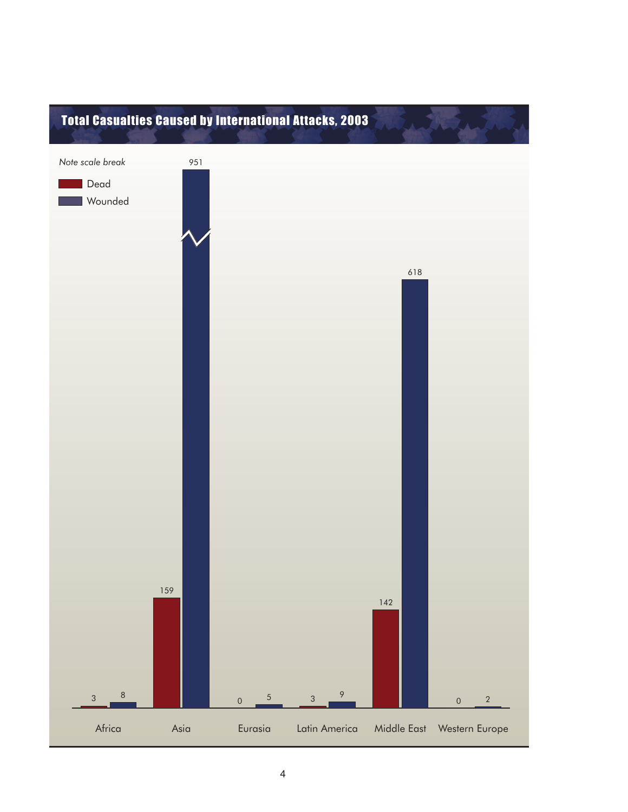